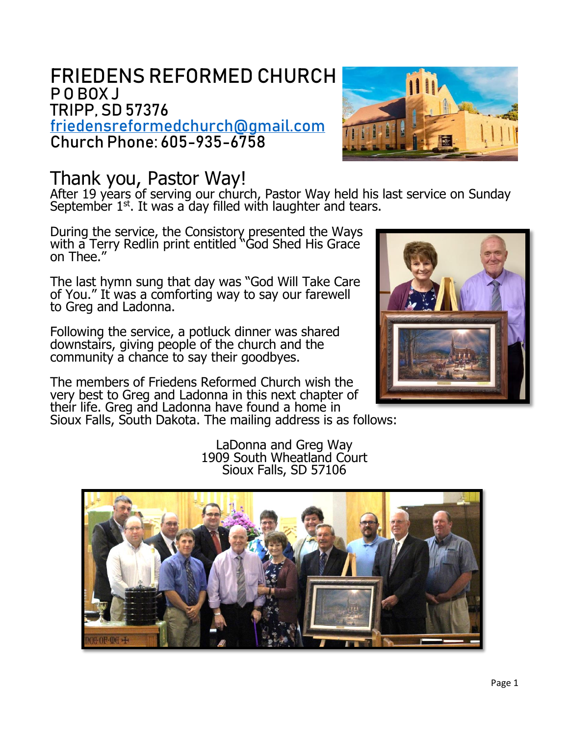# FRIEDENS REFORMED CHURCH P O BOX J TRIPP, SD 57376

[friedensreformedchurch@gmail.com](mailto:friedensreformedchurch@gmail.com) Church Phone: 605-935-6758



# Thank you, Pastor Way!

After 19 years of serving our church, Pastor Way held his last service on Sunday September  $1<sup>st</sup>$ . It was a day filled with laughter and tears.

During the service, the Consistory presented the Ways with a Terry Redlin print entitled "God Shed His Grace on Thee."

The last hymn sung that day was "God Will Take Care of You." It was a comforting way to say our farewell to Greg and Ladonna.

Following the service, a potluck dinner was shared downstairs, giving people of the church and the community a chance to say their goodbyes.

The members of Friedens Reformed Church wish the very best to Greg and Ladonna in this next chapter of their life. Greg and Ladonna have found a home in Sioux Falls, South Dakota. The mailing address is as follows:



LaDonna and Greg Way 1909 South Wheatland Court Sioux Falls, SD 57106

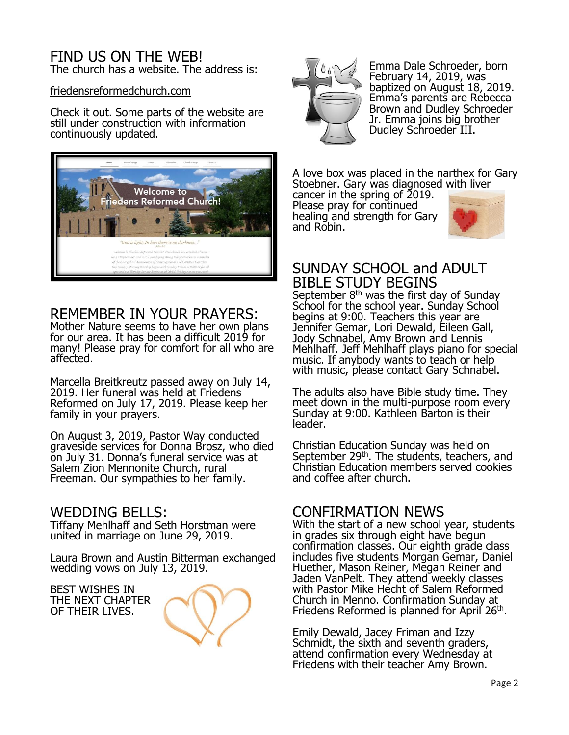#### FIND US ON THE WEB! The church has a website. The address is:

friedensreformedchurch.com

Check it out. Some parts of the website are still under construction with information continuously updated.



## REMEMBER IN YOUR PRAYERS:

Mother Nature seems to have her own plans for our area. It has been a difficult 2019 for many! Please pray for comfort for all who are affected.

Marcella Breitkreutz passed away on July 14, 2019. Her funeral was held at Friedens Reformed on July 17, 2019. Please keep her family in your prayers.

On August 3, 2019, Pastor Way conducted graveside services for Donna Brosz, who died on July 31. Donna's funeral service was at Salem<sup>2</sup> Zion Mennonite Church, rural Freeman. Our sympathies to her family.

#### WEDDING BELLS:

Tiffany Mehlhaff and Seth Horstman were united in marriage on June 29, 2019.

Laura Brown and Austin Bitterman exchanged wedding vows on July 13, 2019.

BEST WISHES IN THE NEXT CHAPTER OF THEIR LIVES.





Emma Dale Schroeder, born February 14, 2019, was baptized on August 18, 2019. Emma's parents are Rebecca Brown and Dudley Schroeder Jr. Emma joins big brother Dudley Schroeder III.

A love box was placed in the narthex for Gary Stoebner. Gary was diagnosed with liver

cancer in the spring of 2019. Please pray for continued healing and strength for Gary and Robin.



## SUNDAY SCHOOL and ADULT BIBLE STUDY BEGINS

September  $8<sup>th</sup>$  was the first day of Sunday School for the school year. Sunday School begins at 9:00. Teachers this year are Jennifer Gemar, Lori Dewald, Eileen Gall, Jody Schnabel, Amy Brown and Lennis Mehlhaff. Jeff Mehlhaff plays piano for special music. If anybody wants to teach or help with music, please contact Gary Schnabel.

The adults also have Bible study time. They meet down in the multi-purpose room every Sunday at 9:00. Kathleen Barton is their leader.

Christian Education Sunday was held on September 29<sup>th</sup>. The students, teachers, and Christian Education members served cookies and coffee after church.

### CONFIRMATION NEWS

With the start of a new school year, students in grades six through eight have begun confirmation classes. Our eighth grade class includes five students Morgan Gemar, Daniel Huether, Mason Reiner, Megan Reiner and Jaden VanPelt. They attend weekly classes with Pastor Mike Hecht of Salem Reformed Church in Menno. Confirmation Sunday at Friedens Reformed is planned for April<sup>'</sup> 26<sup>th</sup>.

Emily Dewald, Jacey Friman and Izzy Schmidt, the sixth and seventh graders, attend confirmation every Wednesday at Friedens with their teacher Amy Brown.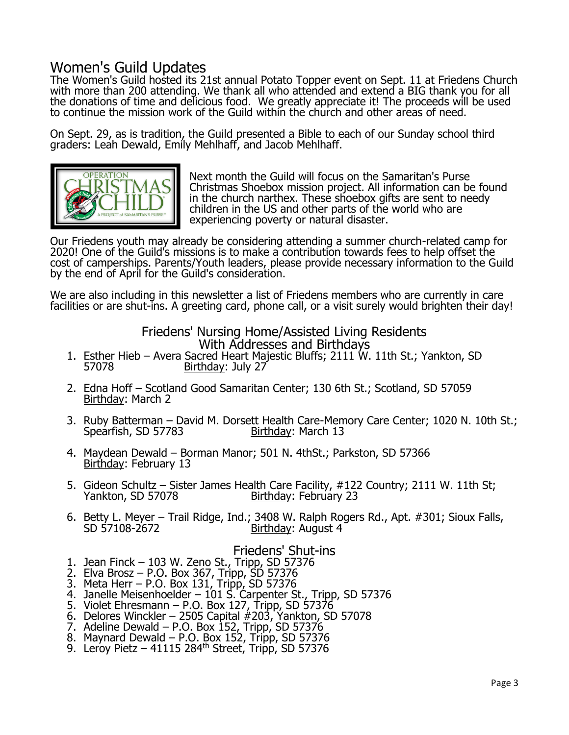# Women's Guild Updates

The Women's Guild hosted its 21st annual Potato Topper event on Sept. 11 at Friedens Church with more than 200 attending. We thank all who attended and extend a BIG thank you for all the donations of time and delicious food. We greatly appreciate it! The proceeds will be used to continue the mission work of the Guild within the church and other areas of need.

On Sept. 29, as is tradition, the Guild presented a Bible to each of our Sunday school third graders: Leah Dewald, Emily Mehlhaff, and Jacob Mehlhaff.



Next month the Guild will focus on the Samaritan's Purse Christmas Shoebox mission project. All information can be found in the church narthex. These shoebox gifts are sent to needy children in the US and other parts of the world who are experiencing poverty or natural disaster.

Our Friedens youth may already be considering attending a summer church-related camp for 2020! One of the Guild's missions is to make a contribution towards fees to help offset the cost of camperships. Parents/Youth leaders, please provide necessary information to the Guild by the end of April for the Guild's consideration.

We are also including in this newsletter a list of Friedens members who are currently in care facilities or are shut-ins. A greeting card, phone call, or a visit surely would brighten their day!

> Friedens' Nursing Home/Assisted Living Residents With Addresses and Birthdays

- 1. Esther Hieb Avera Sacred Heart Majestic Bluffs; 2111 W. 11th St.; Yankton, SD<br>57078 Birthday: July 27 Birthday: July 27
- 2. Edna Hoff Scotland Good Samaritan Center; 130 6th St.; Scotland, SD 57059 Birthday: March 2
- 3. Ruby Batterman David M. Dorsett Health Care-Memory Care Center; 1020 N. 10th St.; Spearfish, SD 57783 Birthday: March 13
- 4. Maydean Dewald Borman Manor; 501 N. 4thSt.; Parkston, SD 57366 Birthday: February 13
- 5. Gideon Schultz Sister James Health Care Facility, #122 Country; 2111 W. 11th St;<br>Yankton, SD 57078 Firthday: February 23 Birthday: February 23
- 6. Betty L. Meyer Trail Ridge, Ind.; 3408 W. Ralph Rogers Rd., Apt. #301; Sioux Falls, Birthday: August 4

### Friedens' Shut-ins

- 1. Jean Finck 103 W. Zeno St., Tripp, SD 57376
- 2. Elva Brosz P.O. Box 367, Tripp, SD 57376
- 3. Meta Herr P.O. Box 131, Tripp, SD 57376
- 4. Janelle Meisenhoelder 101 S. Carpenter St., Tripp, SD 57376
- 5. Violet Ehresmann P.O. Box 127, Tripp, SD 57376
- 6. Delores Winckler 2505 Capital #203, Yankton, SD 57078
- 7. Adeline Dewald P.O. Box 152, Tripp, SD 57376
- 8. Maynard Dewald P.O. Box 152, Tripp, SD 57376 9. Leroy Pietz – 41115 284th Street, Tripp, SD 57376